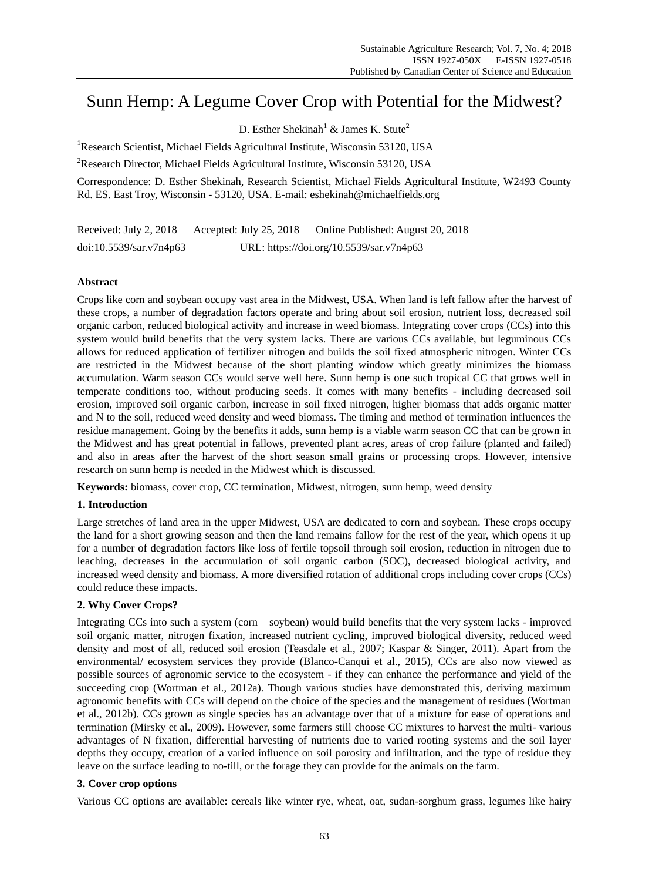# Sunn Hemp: A Legume Cover Crop with Potential for the Midwest?

D. Esther Shekinah<sup>1</sup> & James K. Stute<sup>2</sup>

<sup>1</sup>Research Scientist, Michael Fields Agricultural Institute, Wisconsin 53120, USA

<sup>2</sup>Research Director, Michael Fields Agricultural Institute, Wisconsin 53120, USA

Correspondence: D. Esther Shekinah, Research Scientist, Michael Fields Agricultural Institute, W2493 County Rd. ES. East Troy, Wisconsin - 53120, USA. E-mail: eshekinah@michaelfields.org

Received: July 2, 2018 Accepted: July 25, 2018 Online Published: August 20, 2018 doi:10.5539/sar.v7n4p63 URL: https://doi.org/10.5539/sar.v7n4p63

# **Abstract**

Crops like corn and soybean occupy vast area in the Midwest, USA. When land is left fallow after the harvest of these crops, a number of degradation factors operate and bring about soil erosion, nutrient loss, decreased soil organic carbon, reduced biological activity and increase in weed biomass. Integrating cover crops (CCs) into this system would build benefits that the very system lacks. There are various CCs available, but leguminous CCs allows for reduced application of fertilizer nitrogen and builds the soil fixed atmospheric nitrogen. Winter CCs are restricted in the Midwest because of the short planting window which greatly minimizes the biomass accumulation. Warm season CCs would serve well here. Sunn hemp is one such tropical CC that grows well in temperate conditions too, without producing seeds. It comes with many benefits - including decreased soil erosion, improved soil organic carbon, increase in soil fixed nitrogen, higher biomass that adds organic matter and N to the soil, reduced weed density and weed biomass. The timing and method of termination influences the residue management. Going by the benefits it adds, sunn hemp is a viable warm season CC that can be grown in the Midwest and has great potential in fallows, prevented plant acres, areas of crop failure (planted and failed) and also in areas after the harvest of the short season small grains or processing crops. However, intensive research on sunn hemp is needed in the Midwest which is discussed.

**Keywords:** biomass, cover crop, CC termination, Midwest, nitrogen, sunn hemp, weed density

# **1. Introduction**

Large stretches of land area in the upper Midwest, USA are dedicated to corn and soybean. These crops occupy the land for a short growing season and then the land remains fallow for the rest of the year, which opens it up for a number of degradation factors like loss of fertile topsoil through soil erosion, reduction in nitrogen due to leaching, decreases in the accumulation of soil organic carbon (SOC), decreased biological activity, and increased weed density and biomass. A more diversified rotation of additional crops including cover crops (CCs) could reduce these impacts.

# **2. Why Cover Crops?**

Integrating CCs into such a system (corn – soybean) would build benefits that the very system lacks - improved soil organic matter, nitrogen fixation, increased nutrient cycling, improved biological diversity, reduced weed density and most of all, reduced soil erosion (Teasdale et al., 2007; Kaspar & Singer, 2011). Apart from the environmental/ ecosystem services they provide (Blanco-Canqui et al., 2015), CCs are also now viewed as possible sources of agronomic service to the ecosystem - if they can enhance the performance and yield of the succeeding crop (Wortman et al., 2012a). Though various studies have demonstrated this, deriving maximum agronomic benefits with CCs will depend on the choice of the species and the management of residues (Wortman et al., 2012b). CCs grown as single species has an advantage over that of a mixture for ease of operations and termination (Mirsky et al., 2009). However, some farmers still choose CC mixtures to harvest the multi- various advantages of N fixation, differential harvesting of nutrients due to varied rooting systems and the soil layer depths they occupy, creation of a varied influence on soil porosity and infiltration, and the type of residue they leave on the surface leading to no-till, or the forage they can provide for the animals on the farm.

## **3. Cover crop options**

Various CC options are available: cereals like winter rye, wheat, oat, sudan-sorghum grass, legumes like hairy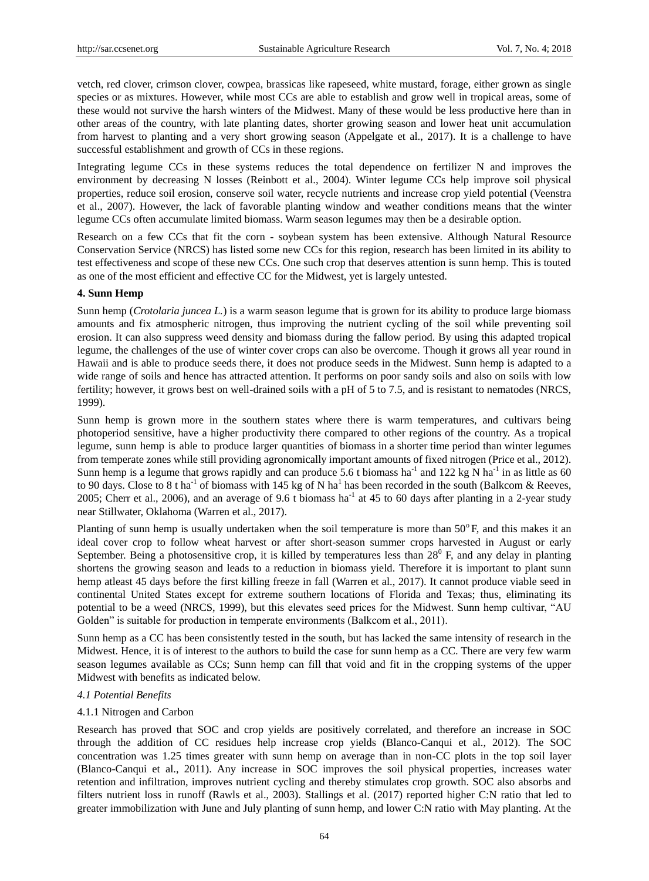vetch, red clover, crimson clover, cowpea, brassicas like rapeseed, white mustard, forage, either grown as single species or as mixtures. However, while most CCs are able to establish and grow well in tropical areas, some of these would not survive the harsh winters of the Midwest. Many of these would be less productive here than in other areas of the country, with late planting dates, shorter growing season and lower heat unit accumulation from harvest to planting and a very short growing season (Appelgate et al., 2017). It is a challenge to have successful establishment and growth of CCs in these regions.

Integrating legume CCs in these systems reduces the total dependence on fertilizer N and improves the environment by decreasing N losses (Reinbott et al., 2004). Winter legume CCs help improve soil physical properties, reduce soil erosion, conserve soil water, recycle nutrients and increase crop yield potential (Veenstra et al., 2007). However, the lack of favorable planting window and weather conditions means that the winter legume CCs often accumulate limited biomass. Warm season legumes may then be a desirable option.

Research on a few CCs that fit the corn - soybean system has been extensive. Although Natural Resource Conservation Service (NRCS) has listed some new CCs for this region, research has been limited in its ability to test effectiveness and scope of these new CCs. One such crop that deserves attention is sunn hemp. This is touted as one of the most efficient and effective CC for the Midwest, yet is largely untested.

## **4. Sunn Hemp**

Sunn hemp (*Crotolaria juncea L.*) is a warm season legume that is grown for its ability to produce large biomass amounts and fix atmospheric nitrogen, thus improving the nutrient cycling of the soil while preventing soil erosion. It can also suppress weed density and biomass during the fallow period. By using this adapted tropical legume, the challenges of the use of winter cover crops can also be overcome. Though it grows all year round in Hawaii and is able to produce seeds there, it does not produce seeds in the Midwest. Sunn hemp is adapted to a wide range of soils and hence has attracted attention. It performs on poor sandy soils and also on soils with low fertility; however, it grows best on well-drained soils with a pH of 5 to 7.5, and is resistant to nematodes (NRCS, 1999).

Sunn hemp is grown more in the southern states where there is warm temperatures, and cultivars being photoperiod sensitive, have a higher productivity there compared to other regions of the country. As a tropical legume, sunn hemp is able to produce larger quantities of biomass in a shorter time period than winter legumes from temperate zones while still providing agronomically important amounts of fixed nitrogen (Price et al., 2012). Sunn hemp is a legume that grows rapidly and can produce 5.6 t biomass ha<sup>-1</sup> and 122 kg N ha<sup>-1</sup> in as little as 60 to 90 days. Close to 8 t ha<sup>-1</sup> of biomass with 145 kg of N ha<sup>1</sup> has been recorded in the south (Balkcom & Reeves, 2005; Cherr et al., 2006), and an average of 9.6 t biomass ha<sup>-1</sup> at 45 to 60 days after planting in a 2-year study near Stillwater, Oklahoma (Warren et al., 2017).

Planting of sunn hemp is usually undertaken when the soil temperature is more than  $50^{\circ}$ F, and this makes it an ideal cover crop to follow wheat harvest or after short-season summer crops harvested in August or early September. Being a photosensitive crop, it is killed by temperatures less than  $28^{\circ}$  F, and any delay in planting shortens the growing season and leads to a reduction in biomass yield. Therefore it is important to plant sunn hemp atleast 45 days before the first killing freeze in fall (Warren et al., 2017). It cannot produce viable seed in continental United States except for extreme southern locations of Florida and Texas; thus, eliminating its potential to be a weed (NRCS, 1999), but this elevates seed prices for the Midwest. Sunn hemp cultivar, "AU Golden" is suitable for production in temperate environments (Balkcom et al., 2011).

Sunn hemp as a CC has been consistently tested in the south, but has lacked the same intensity of research in the Midwest. Hence, it is of interest to the authors to build the case for sunn hemp as a CC. There are very few warm season legumes available as CCs; Sunn hemp can fill that void and fit in the cropping systems of the upper Midwest with benefits as indicated below.

## *4.1 Potential Benefits*

## 4.1.1 Nitrogen and Carbon

Research has proved that SOC and crop yields are positively correlated, and therefore an increase in SOC through the addition of CC residues help increase crop yields (Blanco-Canqui et al., 2012). The SOC concentration was 1.25 times greater with sunn hemp on average than in non-CC plots in the top soil layer (Blanco-Canqui et al., 2011). Any increase in SOC improves the soil physical properties, increases water retention and infiltration, improves nutrient cycling and thereby stimulates crop growth. SOC also absorbs and filters nutrient loss in runoff (Rawls et al., 2003). Stallings et al. (2017) reported higher C:N ratio that led to greater immobilization with June and July planting of sunn hemp, and lower C:N ratio with May planting. At the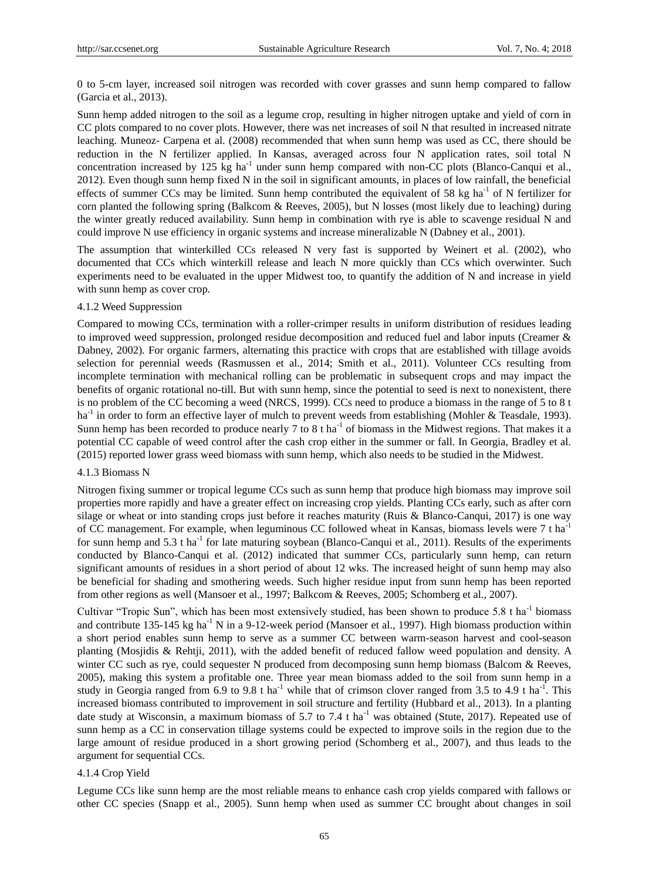0 to 5-cm layer, increased soil nitrogen was recorded with cover grasses and sunn hemp compared to fallow (Garcia et al., 2013).

Sunn hemp added nitrogen to the soil as a legume crop, resulting in higher nitrogen uptake and yield of corn in CC plots compared to no cover plots. However, there was net increases of soil N that resulted in increased nitrate leaching. Muneoz- Carpena et al. (2008) recommended that when sunn hemp was used as CC, there should be reduction in the N fertilizer applied. In Kansas, averaged across four N application rates, soil total N concentration increased by 125 kg ha<sup>-1</sup> under sunn hemp compared with non-CC plots (Blanco-Canqui et al., 2012). Even though sunn hemp fixed N in the soil in significant amounts, in places of low rainfall, the beneficial effects of summer CCs may be limited. Sunn hemp contributed the equivalent of 58 kg ha<sup>-1</sup> of N fertilizer for corn planted the following spring (Balkcom & Reeves, 2005), but N losses (most likely due to leaching) during the winter greatly reduced availability. Sunn hemp in combination with rye is able to scavenge residual N and could improve N use efficiency in organic systems and increase mineralizable N (Dabney et al., 2001).

The assumption that winterkilled CCs released N very fast is supported by Weinert et al. (2002), who documented that CCs which winterkill release and leach N more quickly than CCs which overwinter. Such experiments need to be evaluated in the upper Midwest too, to quantify the addition of N and increase in yield with sunn hemp as cover crop.

#### 4.1.2 Weed Suppression

Compared to mowing CCs, termination with a roller-crimper results in uniform distribution of residues leading to improved weed suppression, prolonged residue decomposition and reduced fuel and labor inputs (Creamer & Dabney, 2002). For organic farmers, alternating this practice with crops that are established with tillage avoids selection for perennial weeds (Rasmussen et al., 2014; Smith et al., 2011). Volunteer CCs resulting from incomplete termination with mechanical rolling can be problematic in subsequent crops and may impact the benefits of organic rotational no-till. But with sunn hemp, since the potential to seed is next to nonexistent, there is no problem of the CC becoming a weed (NRCS, 1999). CCs need to produce a biomass in the range of 5 to 8 t ha<sup>-1</sup> in order to form an effective layer of mulch to prevent weeds from establishing (Mohler & Teasdale, 1993). Sunn hemp has been recorded to produce nearly 7 to 8 t ha<sup>-1</sup> of biomass in the Midwest regions. That makes it a potential CC capable of weed control after the cash crop either in the summer or fall. In Georgia, Bradley et al. (2015) reported lower grass weed biomass with sunn hemp, which also needs to be studied in the Midwest.

#### 4.1.3 Biomass N

Nitrogen fixing summer or tropical legume CCs such as sunn hemp that produce high biomass may improve soil properties more rapidly and have a greater effect on increasing crop yields. Planting CCs early, such as after corn silage or wheat or into standing crops just before it reaches maturity (Ruis & Blanco-Canqui, 2017) is one way of CC management. For example, when leguminous CC followed wheat in Kansas, biomass levels were 7 t ha-1 for sunn hemp and 5.3 t ha<sup>-1</sup> for late maturing soybean (Blanco-Canqui et al., 2011). Results of the experiments conducted by Blanco-Canqui et al. (2012) indicated that summer CCs, particularly sunn hemp, can return significant amounts of residues in a short period of about 12 wks. The increased height of sunn hemp may also be beneficial for shading and smothering weeds. Such higher residue input from sunn hemp has been reported from other regions as well (Mansoer et al., 1997; Balkcom & Reeves, 2005; Schomberg et al., 2007).

Cultivar "Tropic Sun", which has been most extensively studied, has been shown to produce 5.8 t ha<sup>-1</sup> biomass and contribute 135-145 kg ha<sup>-1</sup> N in a 9-12-week period (Mansoer et al., 1997). High biomass production within a short period enables sunn hemp to serve as a summer CC between warm-season harvest and cool-season planting (Mosjidis & Rehtji, 2011), with the added benefit of reduced fallow weed population and density. A winter CC such as rye, could sequester N produced from decomposing sunn hemp biomass (Balcom & Reeves, 2005), making this system a profitable one. Three year mean biomass added to the soil from sunn hemp in a study in Georgia ranged from 6.9 to 9.8 t ha<sup>-1</sup> while that of crimson clover ranged from 3.5 to 4.9 t ha<sup>-1</sup>. This increased biomass contributed to improvement in soil structure and fertility (Hubbard et al., 2013). In a planting date study at Wisconsin, a maximum biomass of 5.7 to 7.4 t ha<sup>-1</sup> was obtained (Stute, 2017). Repeated use of sunn hemp as a CC in conservation tillage systems could be expected to improve soils in the region due to the large amount of residue produced in a short growing period (Schomberg et al., 2007), and thus leads to the argument for sequential CCs.

## 4.1.4 Crop Yield

Legume CCs like sunn hemp are the most reliable means to enhance cash crop yields compared with fallows or other CC species (Snapp et al., 2005). Sunn hemp when used as summer CC brought about changes in soil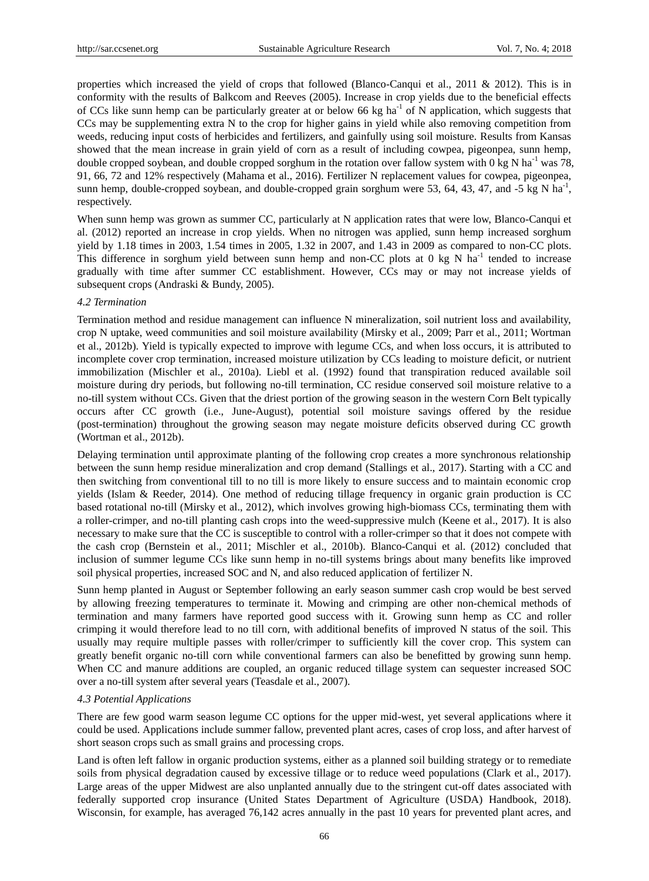properties which increased the yield of crops that followed (Blanco-Canqui et al., 2011 & 2012). This is in conformity with the results of Balkcom and Reeves (2005). Increase in crop yields due to the beneficial effects of CCs like sunn hemp can be particularly greater at or below 66 kg  $ha^{-1}$  of N application, which suggests that CCs may be supplementing extra N to the crop for higher gains in yield while also removing competition from weeds, reducing input costs of herbicides and fertilizers, and gainfully using soil moisture. Results from Kansas showed that the mean increase in grain yield of corn as a result of including cowpea, pigeonpea, sunn hemp, double cropped soybean, and double cropped sorghum in the rotation over fallow system with 0 kg N ha<sup>-1</sup> was 78, 91, 66, 72 and 12% respectively (Mahama et al., 2016). Fertilizer N replacement values for cowpea, pigeonpea, sunn hemp, double-cropped soybean, and double-cropped grain sorghum were 53, 64, 43, 47, and -5 kg N ha<sup>-1</sup>, respectively.

When sunn hemp was grown as summer CC, particularly at N application rates that were low, Blanco-Canqui et al. (2012) reported an increase in crop yields. When no nitrogen was applied, sunn hemp increased sorghum yield by 1.18 times in 2003, 1.54 times in 2005, 1.32 in 2007, and 1.43 in 2009 as compared to non-CC plots. This difference in sorghum yield between sunn hemp and non-CC plots at  $0 \text{ kg } N$  ha<sup>-1</sup> tended to increase gradually with time after summer CC establishment. However, CCs may or may not increase yields of subsequent crops (Andraski & Bundy, 2005).

## *4.2 Termination*

Termination method and residue management can influence N mineralization, soil nutrient loss and availability, crop N uptake, weed communities and soil moisture availability (Mirsky et al., 2009; Parr et al., 2011; Wortman et al., 2012b). Yield is typically expected to improve with legume CCs, and when loss occurs, it is attributed to incomplete cover crop termination, increased moisture utilization by CCs leading to moisture deficit, or nutrient immobilization (Mischler et al., 2010a). Liebl et al. (1992) found that transpiration reduced available soil moisture during dry periods, but following no-till termination, CC residue conserved soil moisture relative to a no-till system without CCs. Given that the driest portion of the growing season in the western Corn Belt typically occurs after CC growth (i.e., June-August), potential soil moisture savings offered by the residue (post-termination) throughout the growing season may negate moisture deficits observed during CC growth (Wortman et al., 2012b).

Delaying termination until approximate planting of the following crop creates a more synchronous relationship between the sunn hemp residue mineralization and crop demand (Stallings et al., 2017). Starting with a CC and then switching from conventional till to no till is more likely to ensure success and to maintain economic crop yields (Islam & Reeder, 2014). One method of reducing tillage frequency in organic grain production is CC based rotational no-till (Mirsky et al., 2012), which involves growing high-biomass CCs, terminating them with a roller-crimper, and no-till planting cash crops into the weed-suppressive mulch (Keene et al., 2017). It is also necessary to make sure that the CC is susceptible to control with a roller-crimper so that it does not compete with the cash crop (Bernstein et al., 2011; Mischler et al., 2010b). Blanco-Canqui et al. (2012) concluded that inclusion of summer legume CCs like sunn hemp in no-till systems brings about many benefits like improved soil physical properties, increased SOC and N, and also reduced application of fertilizer N.

Sunn hemp planted in August or September following an early season summer cash crop would be best served by allowing freezing temperatures to terminate it. Mowing and crimping are other non-chemical methods of termination and many farmers have reported good success with it. Growing sunn hemp as CC and roller crimping it would therefore lead to no till corn, with additional benefits of improved N status of the soil. This usually may require multiple passes with roller/crimper to sufficiently kill the cover crop. This system can greatly benefit organic no-till corn while conventional farmers can also be benefitted by growing sunn hemp. When CC and manure additions are coupled, an organic reduced tillage system can sequester increased SOC over a no-till system after several years (Teasdale et al., 2007).

## *4.3 Potential Applications*

There are few good warm season legume CC options for the upper mid-west, yet several applications where it could be used. Applications include summer fallow, prevented plant acres, cases of crop loss, and after harvest of short season crops such as small grains and processing crops.

Land is often left fallow in organic production systems, either as a planned soil building strategy or to remediate soils from physical degradation caused by excessive tillage or to reduce weed populations (Clark et al., 2017). Large areas of the upper Midwest are also unplanted annually due to the stringent cut-off dates associated with federally supported crop insurance (United States Department of Agriculture (USDA) Handbook, 2018). Wisconsin, for example, has averaged 76,142 acres annually in the past 10 years for prevented plant acres, and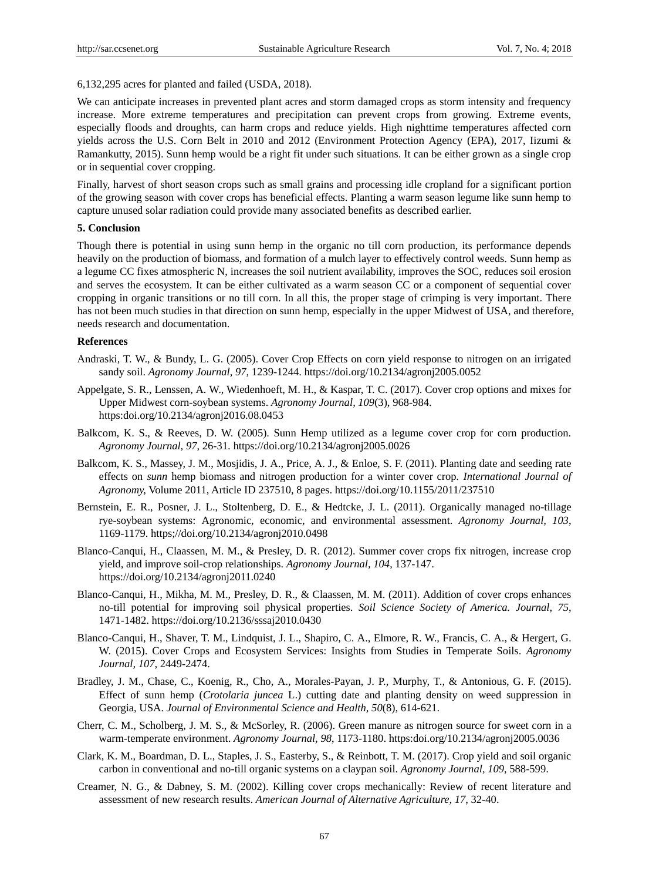6,132,295 acres for planted and failed (USDA, 2018).

We can anticipate increases in prevented plant acres and storm damaged crops as storm intensity and frequency increase. More extreme temperatures and precipitation can prevent crops from growing. Extreme events, especially floods and droughts, can harm crops and reduce yields. High nighttime temperatures affected corn yields across the U.S. Corn Belt in 2010 and 2012 (Environment Protection Agency (EPA), 2017, Iizumi & Ramankutty, 2015). Sunn hemp would be a right fit under such situations. It can be either grown as a single crop or in sequential cover cropping.

Finally, harvest of short season crops such as small grains and processing idle cropland for a significant portion of the growing season with cover crops has beneficial effects. Planting a warm season legume like sunn hemp to capture unused solar radiation could provide many associated benefits as described earlier.

## **5. Conclusion**

Though there is potential in using sunn hemp in the organic no till corn production, its performance depends heavily on the production of biomass, and formation of a mulch layer to effectively control weeds. Sunn hemp as a legume CC fixes atmospheric N, increases the soil nutrient availability, improves the SOC, reduces soil erosion and serves the ecosystem. It can be either cultivated as a warm season CC or a component of sequential cover cropping in organic transitions or no till corn. In all this, the proper stage of crimping is very important. There has not been much studies in that direction on sunn hemp, especially in the upper Midwest of USA, and therefore, needs research and documentation.

## **References**

- Andraski, T. W., & Bundy, L. G. (2005). Cover Crop Effects on corn yield response to nitrogen on an irrigated sandy soil. *Agronomy Journal, 97*, 1239-1244. https://doi.org/10.2134/agronj2005.0052
- Appelgate, S. R., Lenssen, A. W., Wiedenhoeft, M. H., & Kaspar, T. C. (2017). Cover crop options and mixes for Upper Midwest corn-soybean systems. *Agronomy Journal, 109*(3), 968-984. https:doi.org/10.2134/agronj2016.08.0453
- Balkcom, K. S., & Reeves, D. W. (2005). Sunn Hemp utilized as a legume cover crop for corn production. *Agronomy Journal, 97*, 26-31. https://doi.org/10.2134/agronj2005.0026
- Balkcom, K. S., Massey, J. M., Mosjidis, J. A., Price, A. J., & Enloe, S. F. (2011). Planting date and seeding rate effects on *sunn* hemp biomass and nitrogen production for a winter cover crop*. International Journal of Agronomy,* Volume 2011, Article ID 237510, 8 pages. https://doi.org/10.1155/2011/237510
- Bernstein, E. R., Posner, J. L., Stoltenberg, D. E., & Hedtcke, J. L. (2011). Organically managed no-tillage rye-soybean systems: Agronomic, economic, and environmental assessment. *Agronomy Journal, 103*, 1169-1179. https;//doi.org/10.2134/agronj2010.0498
- Blanco-Canqui, H., Claassen, M. M., & Presley, D. R. (2012). Summer cover crops fix nitrogen, increase crop yield, and improve soil-crop relationships. *Agronomy Journal, 104*, 137-147. https://doi.org/10.2134/agronj2011.0240
- Blanco-Canqui, H., Mikha, M. M., Presley, D. R., & Claassen, M. M. (2011). Addition of cover crops enhances no-till potential for improving soil physical properties. *Soil Science Society of America. Journal, 75*, 1471-1482. https://doi.org/10.2136/sssaj2010.0430
- Blanco-Canqui, H., Shaver, T. M., Lindquist, J. L., Shapiro, C. A., Elmore, R. W., Francis, C. A., & Hergert, G. W. (2015). Cover Crops and Ecosystem Services: Insights from Studies in Temperate Soils. *Agronomy Journal, 107*, 2449-2474.
- Bradley, J. M., Chase, C., Koenig, R., Cho, A., Morales-Payan, J. P., Murphy, T., & Antonious, G. F. (2015). Effect of sunn hemp (*Crotolaria juncea* L.) cutting date and planting density on weed suppression in Georgia, USA. *Journal of Environmental Science and Health, 50*(8), 614-621.
- Cherr, C. M., Scholberg, J. M. S., & McSorley, R. (2006). Green manure as nitrogen source for sweet corn in a warm-temperate environment. *Agronomy Journal, 98*, 1173-1180. https:doi.org/10.2134/agronj2005.0036
- Clark, K. M., Boardman, D. L., Staples, J. S., Easterby, S., & Reinbott, T. M. (2017). Crop yield and soil organic carbon in conventional and no-till organic systems on a claypan soil. *Agronomy Journal, 109*, 588-599.
- Creamer, N. G., & Dabney, S. M. (2002). Killing cover crops mechanically: Review of recent literature and assessment of new research results. *American Journal of Alternative Agriculture, 17*, 32-40.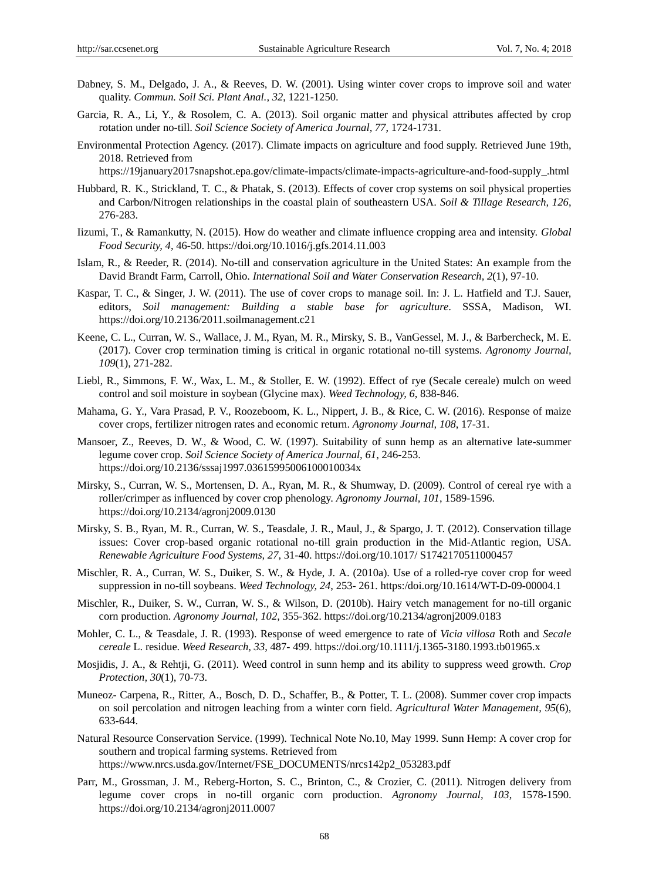- Dabney, S. M., Delgado, J. A., & Reeves, D. W. (2001). Using winter cover crops to improve soil and water quality. *Commun. Soil Sci. Plant Anal., 32*, 1221-1250.
- Garcia, R. A., Li, Y., & Rosolem, C. A. (2013). Soil organic matter and physical attributes affected by crop rotation under no-till. *Soil Science Society of America Journal, 77*, 1724-1731.
- Environmental Protection Agency. (2017). Climate impacts on agriculture and food supply. Retrieved June 19th, 2018. Retrieved from

https://19january2017snapshot.epa.gov/climate-impacts/climate-impacts-agriculture-and-food-supply\_.html

- Hubbard, R. K., Strickland, T. C., & Phatak, S. (2013). Effects of cover crop systems on soil physical properties and Carbon/Nitrogen relationships in the coastal plain of southeastern USA. *Soil & Tillage Research, 126*, 276-283.
- Iizumi, T., & Ramankutty, N. (2015). How do weather and climate influence cropping area and intensity. *Global Food Security, 4*, 46-50. https://doi.org/10.1016/j.gfs.2014.11.003
- Islam, R., & Reeder, R. (2014). No-till and conservation agriculture in the United States: An example from the David Brandt Farm, Carroll, Ohio. *International Soil and Water Conservation Research, 2*(1), 97-10.
- Kaspar, T. C., & Singer, J. W. (2011). The use of cover crops to manage soil. In: J. L. Hatfield and T.J. Sauer, editors, *Soil management: Building a stable base for agriculture*. SSSA, Madison, WI. https://doi.org/10.2136/2011.soilmanagement.c21
- Keene, C. L., Curran, W. S., Wallace, J. M., Ryan, M. R., Mirsky, S. B., VanGessel, M. J., & Barbercheck, M. E. (2017). Cover crop termination timing is critical in organic rotational no-till systems. *Agronomy Journal, 109*(1), 271-282.
- Liebl, R., Simmons, F. W., Wax, L. M., & Stoller, E. W. (1992). Effect of rye (Secale cereale) mulch on weed control and soil moisture in soybean (Glycine max). *Weed Technology, 6*, 838-846.
- Mahama, G. Y., Vara Prasad, P. V., Roozeboom, K. L., Nippert, J. B., & Rice, C. W. (2016). Response of maize cover crops, fertilizer nitrogen rates and economic return. *Agronomy Journal, 108*, 17-31.
- Mansoer, Z., Reeves, D. W., & Wood, C. W. (1997). Suitability of sunn hemp as an alternative late-summer legume cover crop. *Soil Science Society of America Journal, 61*, 246-253. https://doi.org/10.2136/sssaj1997.03615995006100010034x
- Mirsky, S., Curran, W. S., Mortensen, D. A., Ryan, M. R., & Shumway, D. (2009). Control of cereal rye with a roller/crimper as influenced by cover crop phenology. *Agronomy Journal, 101*, 1589-1596. https://doi.org/10.2134/agronj2009.0130
- Mirsky, S. B., Ryan, M. R., Curran, W. S., Teasdale, J. R., Maul, J., & Spargo, J. T. (2012). Conservation tillage issues: Cover crop-based organic rotational no-till grain production in the Mid-Atlantic region, USA. *Renewable Agriculture Food Systems, 27*, 31-40. https://doi.org/10.1017/ S1742170511000457
- Mischler, R. A., Curran, W. S., Duiker, S. W., & Hyde, J. A. (2010a). Use of a rolled-rye cover crop for weed suppression in no-till soybeans. *Weed Technology, 24*, 253- 261. https:/doi.org/10.1614/WT-D-09-00004.1
- Mischler, R., Duiker, S. W., Curran, W. S., & Wilson, D. (2010b). Hairy vetch management for no-till organic corn production. *Agronomy Journal, 102*, 355-362. https://doi.org/10.2134/agronj2009.0183
- Mohler, C. L., & Teasdale, J. R. (1993). Response of weed emergence to rate of *Vicia villosa* Roth and *Secale cereale* L. residue. *Weed Research, 33*, 487- 499. https://doi.org/10.1111/j.1365-3180.1993.tb01965.x
- Mosjidis, J. A., & Rehtji, G. (2011). Weed control in sunn hemp and its ability to suppress weed growth. *Crop Protection, 30*(1), 70-73.
- Muneoz- Carpena, R., Ritter, A., Bosch, D. D., Schaffer, B., & Potter, T. L. (2008). Summer cover crop impacts on soil percolation and nitrogen leaching from a winter corn field. *Agricultural Water Management, 95*(6), 633-644.
- Natural Resource Conservation Service. (1999). Technical Note No.10, May 1999. Sunn Hemp: A cover crop for southern and tropical farming systems. Retrieved from https://www.nrcs.usda.gov/Internet/FSE\_DOCUMENTS/nrcs142p2\_053283.pdf
- Parr, M., Grossman, J. M., Reberg-Horton, S. C., Brinton, C., & Crozier, C. (2011). Nitrogen delivery from legume cover crops in no-till organic corn production. *Agronomy Journal, 103*, 1578-1590. https://doi.org/10.2134/agronj2011.0007